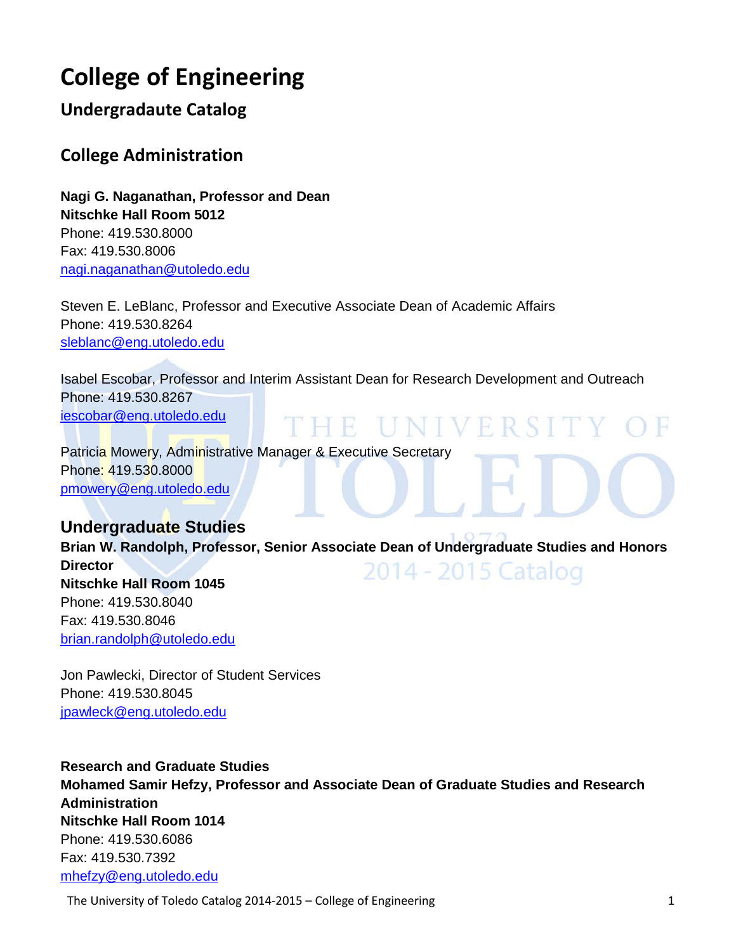## **College of Engineering**

## **Undergradaute Catalog**

## **College Administration**

**Nagi G. Naganathan, Professor and Dean Nitschke Hall Room 5012** Phone: 419.530.8000 Fax: 419.530.8006 [nagi.naganathan@utoledo.edu](mailto:nagi.naganathan@utoledo.edu)

Steven E. LeBlanc, Professor and Executive Associate Dean of Academic Affairs Phone: 419.530.8264 [sleblanc@eng.utoledo.edu](mailto:sleblanc@eng.utoledo.edu)

Isabel Escobar, Professor and Interim Assistant Dean for Research Development and Outreach Phone: 419.530.8267 [iescobar@eng.utoledo.edu](mailto:iescobar@eng.utoledo.edu) THE UNIVERSI

Patricia Mowery, Administrative Manager & Executive Secretary Phone: 419.530.8000 [pmowery@eng.utoledo.edu](mailto:pmowery@eng.utoledo.edu)

**Undergraduate Studies Brian W. Randolph, Professor, Senior Associate Dean of Undergraduate Studies and Honors Director**  2014 - 2015 Catalog **Nitschke Hall Room 1045**  Phone: 419.530.8040 Fax: 419.530.8046

Jon Pawlecki, Director of Student Services Phone: 419.530.8045 [jpawleck@eng.utoledo.edu](mailto:jpawleck@eng.utoledo.edu)

[brian.randolph@utoledo.edu](mailto:brian.randolph@utoledo.edu)

**Research and Graduate Studies Mohamed Samir Hefzy, Professor and Associate Dean of Graduate Studies and Research Administration Nitschke Hall Room 1014**  Phone: 419.530.6086 Fax: 419.530.7392 [mhefzy@eng.utoledo.edu](mailto:mhefzy@eng.utoledo.edu)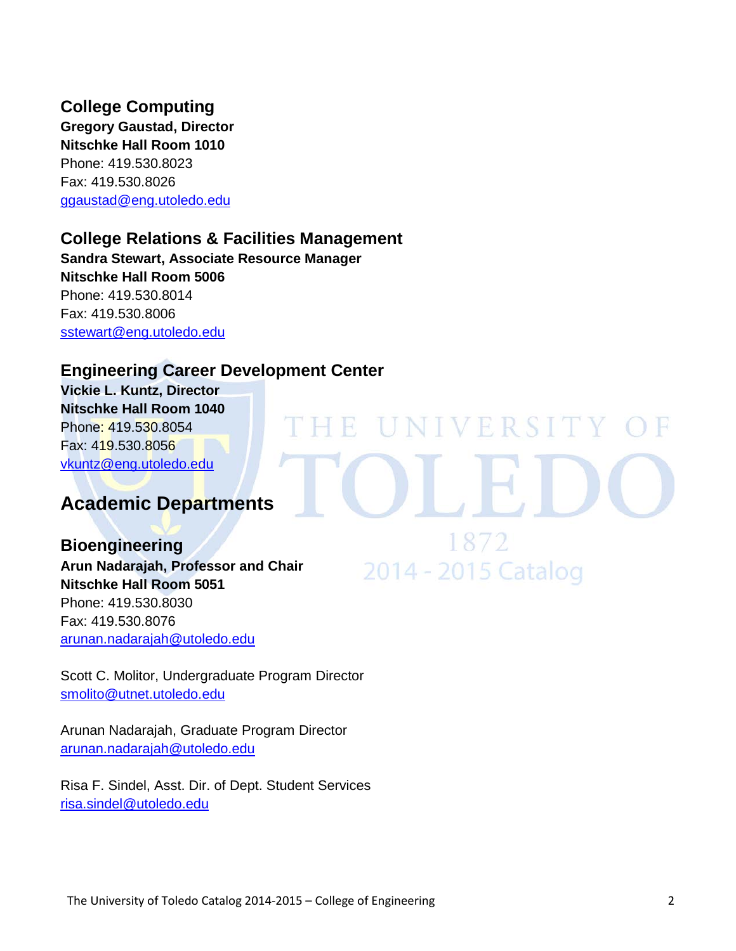## **College Computing**

**Gregory Gaustad, Director Nitschke Hall Room 1010**  Phone: 419.530.8023 Fax: 419.530.8026 [ggaustad@eng.utoledo.edu](mailto:ggaustad@eng.utoledo.edu)

## **College Relations & Facilities Management**

**Sandra Stewart, Associate Resource Manager Nitschke Hall Room 5006**  Phone: 419.530.8014 Fax: 419.530.8006 [sstewart@eng.utoledo.edu](mailto:sstewart@eng.utoledo.edu)

## **Engineering Career Development Center**

HE UNIVERSITY

1872

2014 - 2015 Catalog

**Vickie L. Kuntz, Director Nitschke Hall Room 1040** Phone: 419.530.8054 Fax: 419.530.8056 [vkuntz@eng.utoledo.edu](mailto:vkuntz@eng.utoledo.edu)

## **Academic Departments**

## **Bioengineering**

**Arun Nadarajah, Professor and Chair Nitschke Hall Room 5051**  Phone: 419.530.8030 Fax: 419.530.8076 [arunan.nadarajah@utoledo.edu](mailto:arunan.nadarajah@utoledo.edu)

Scott C. Molitor, Undergraduate Program Director [smolito@utnet.utoledo.edu](mailto:smolito@utnet.utoledo.edu)

Arunan Nadarajah, Graduate Program Director [arunan.nadarajah@utoledo.edu](mailto:arunan.nadarajah@utoledo.edu)

Risa F. Sindel, Asst. Dir. of Dept. Student Services [risa.sindel@utoledo.edu](mailto:risa.sindel@utoledo.edu)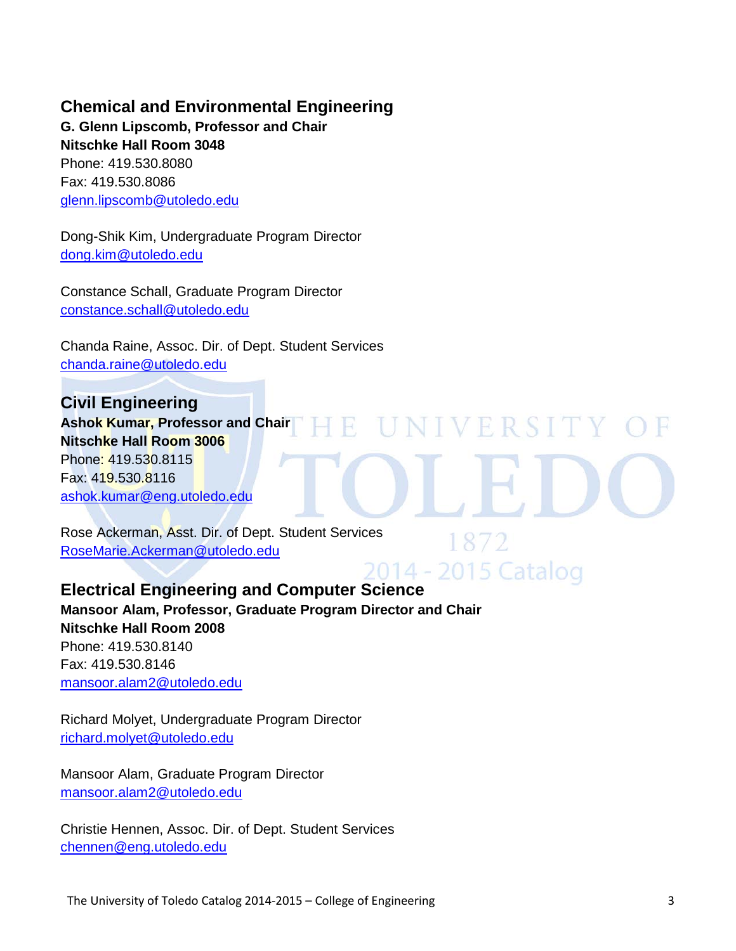## **Chemical and Environmental Engineering**

**G. Glenn Lipscomb, Professor and Chair Nitschke Hall Room 3048**  Phone: 419.530.8080 Fax: 419.530.8086 [glenn.lipscomb@utoledo.edu](mailto:glenn.lipscomb@utoledo.edu)

Dong-Shik Kim, Undergraduate Program Director [dong.kim@utoledo.edu](mailto:dong.kim@utoledo.edu)

Constance Schall, Graduate Program Director [constance.schall@utoledo.edu](mailto:constance.schall@utoledo.edu)

Chanda Raine, Assoc. Dir. of Dept. Student Services [chanda.raine@utoledo.edu](mailto:chanda.raine@utoledo.edu)

**Civil Engineering Ashok Kumar, Professor and Chair Nitschke Hall Room 3006**  Phone: 419.530.8115 Fax: 419.530.8116 [ashok.kumar@eng.utoledo.edu](mailto:ashok.kumar@eng.utoledo.edu)

Rose Ackerman, Asst. Dir. of Dept. Student Services [RoseMarie.Ackerman@utoledo.edu](mailto:RoseMarie.Ackerman@utoledo.edu)

2014 - 2015 Catalog **Electrical Engineering and Computer Science Mansoor Alam, Professor, Graduate Program Director and Chair Nitschke Hall Room 2008**  Phone: 419.530.8140 Fax: 419.530.8146 [mansoor.alam2@utoledo.edu](mailto:mansoor.alam2@utoledo.edu)

E UNIVERSITY

1872

Richard Molyet, Undergraduate Program Director [richard.molyet@utoledo.edu](mailto:richard.molyet@utoledo.edu)

Mansoor Alam, Graduate Program Director [mansoor.alam2@utoledo.edu](mailto:mansoor.alam2@utoledo.edu)

Christie Hennen, Assoc. Dir. of Dept. Student Services [chennen@eng.utoledo.edu](mailto:chennen@eng.utoledo.edu)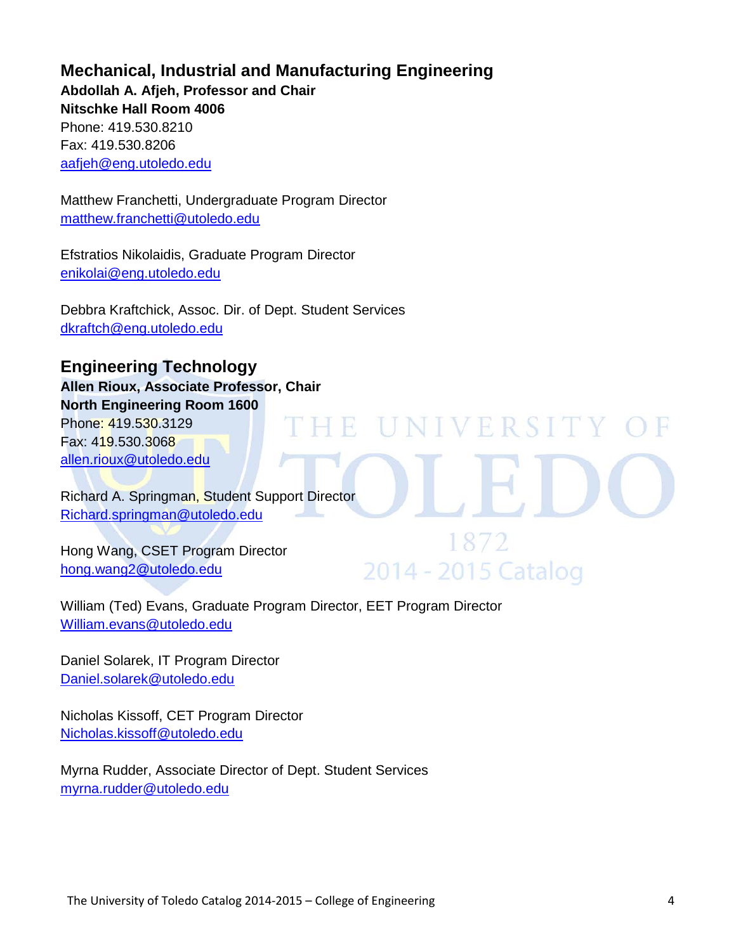## **Mechanical, Industrial and Manufacturing Engineering**

**Abdollah A. Afjeh, Professor and Chair Nitschke Hall Room 4006**  Phone: 419.530.8210 Fax: 419.530.8206 [aafjeh@eng.utoledo.edu](mailto:aafjeh@eng.utoledo.edu)

Matthew Franchetti, Undergraduate Program Director [matthew.franchetti@utoledo.edu](mailto:matthew.franchetti@utoledo.edu)

Efstratios Nikolaidis, Graduate Program Director [enikolai@eng.utoledo.edu](mailto:enikolai@eng.utoledo.edu)

Debbra Kraftchick, Assoc. Dir. of Dept. Student Services [dkraftch@eng.utoledo.edu](mailto:dkraftch@eng.utoledo.edu)

## **Engineering Technology**

**Allen Rioux, Associate Professor, Chair North Engineering Room 1600** 

Phone: 419.530.3129 Fax: 419.530.3068 [allen.rioux@utoledo.edu](mailto:allen.rioux@utoledo.edu)

Richard A. Springman, Student Support Director [Richard.springman@utoledo.edu](mailto:Richard.springman@utoledo.edu)

Hong Wang, CSET Program Director [hong.wang2@utoledo.edu](mailto:hong.wang2@utoledo.edu)

William (Ted) Evans, Graduate Program Director, EET Program Director [William.evans@utoledo.edu](mailto:William.evans@utoledo.edu)

E UNIVERSITY

1872

2014 - 2015 Catalog

Daniel Solarek, IT Program Director [Daniel.solarek@utoledo.edu](mailto:Daniel.solarek@utoledo.edu)

Nicholas Kissoff, CET Program Director [Nicholas.kissoff@utoledo.edu](mailto:Nicholas.kissoff@utoledo.edu)

Myrna Rudder, Associate Director of Dept. Student Services [myrna.rudder@utoledo.edu](mailto:myrna.rudder@utoledo.edu)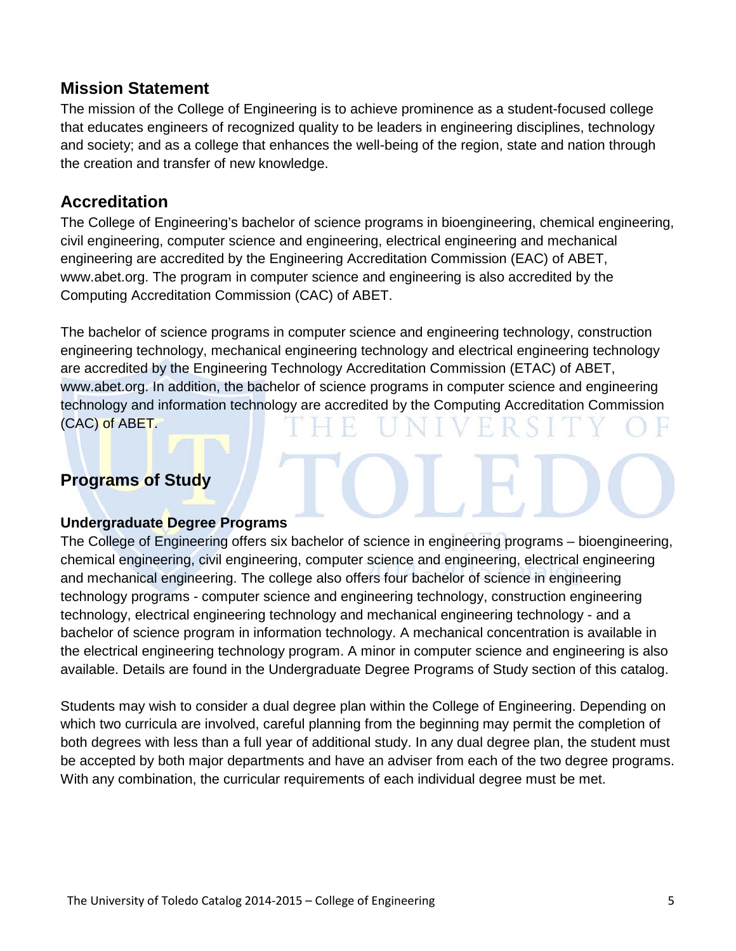## **Mission Statement**

The mission of the College of Engineering is to achieve prominence as a student-focused college that educates engineers of recognized quality to be leaders in engineering disciplines, technology and society; and as a college that enhances the well-being of the region, state and nation through the creation and transfer of new knowledge.

## **Accreditation**

The College of Engineering's bachelor of science programs in bioengineering, chemical engineering, civil engineering, computer science and engineering, electrical engineering and mechanical engineering are accredited by the Engineering Accreditation Commission (EAC) of ABET, www.abet.org. The program in computer science and engineering is also accredited by the Computing Accreditation Commission (CAC) of ABET.

The bachelor of science programs in computer science and engineering technology, construction engineering technology, mechanical engineering technology and electrical engineering technology are accredited by the Engineering Technology Accreditation Commission (ETAC) of ABET, www.abet.org. In addition, the bachelor of science programs in computer science and engineering technology and information technology are accredited by the Computing Accreditation Commission (CAC) of ABET.

## **Programs of Study**

## **Undergraduate Degree Programs**

The College of Engineering offers six bachelor of science in engineering programs – bioengineering, chemical engineering, civil engineering, computer science and engineering, electrical engineering and mechanical engineering. The college also offers four bachelor of science in engineering technology programs - computer science and engineering technology, construction engineering technology, electrical engineering technology and mechanical engineering technology - and a bachelor of science program in information technology. A mechanical concentration is available in the electrical engineering technology program. A minor in computer science and engineering is also available. Details are found in the Undergraduate Degree Programs of Study section of this catalog.

Students may wish to consider a dual degree plan within the College of Engineering. Depending on which two curricula are involved, careful planning from the beginning may permit the completion of both degrees with less than a full year of additional study. In any dual degree plan, the student must be accepted by both major departments and have an adviser from each of the two degree programs. With any combination, the curricular requirements of each individual degree must be met.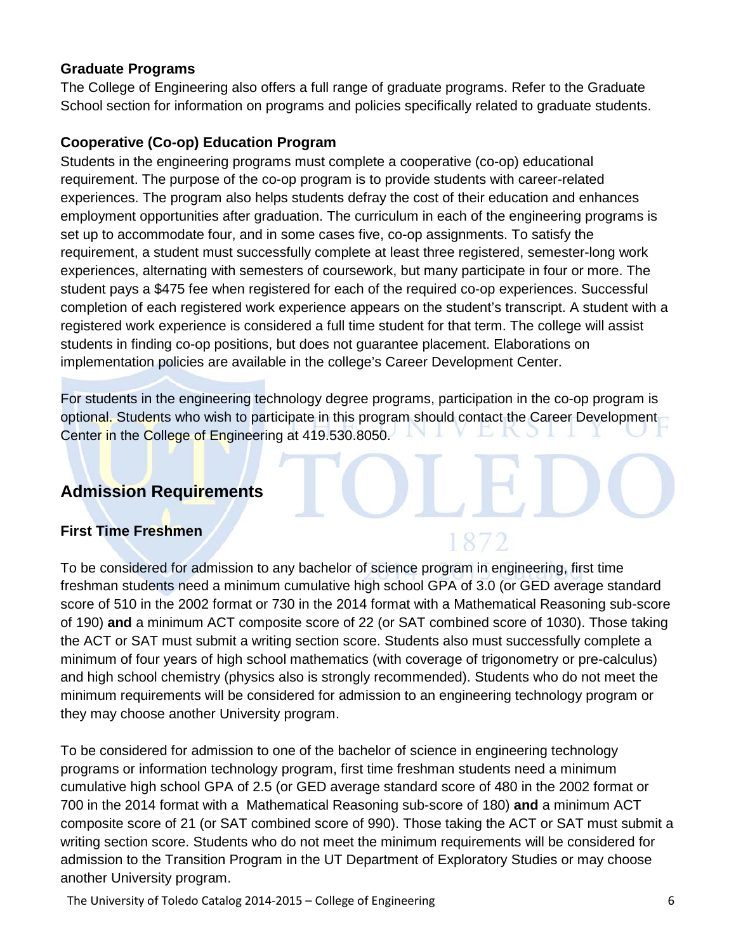## **Graduate Programs**

The College of Engineering also offers a full range of graduate programs. Refer to the Graduate School section for information on programs and policies specifically related to graduate students.

## **Cooperative (Co-op) Education Program**

Students in the engineering programs must complete a cooperative (co-op) educational requirement. The purpose of the co-op program is to provide students with career-related experiences. The program also helps students defray the cost of their education and enhances employment opportunities after graduation. The curriculum in each of the engineering programs is set up to accommodate four, and in some cases five, co-op assignments. To satisfy the requirement, a student must successfully complete at least three registered, semester-long work experiences, alternating with semesters of coursework, but many participate in four or more. The student pays a \$475 fee when registered for each of the required co-op experiences. Successful completion of each registered work experience appears on the student's transcript. A student with a registered work experience is considered a full time student for that term. The college will assist students in finding co-op positions, but does not guarantee placement. Elaborations on implementation policies are available in the college's Career Development Center.

For students in the engineering technology degree programs, participation in the co-op program is optional. Students who wish to participate in this program should contact the Career Development Center in the College of Engineering at 419.530.8050.

## **Admission Requirements**

## **First Time Freshmen**

To be considered for admission to any bachelor of science program in engineering, first time freshman students need a minimum cumulative high school GPA of 3.0 (or GED average standard score of 510 in the 2002 format or 730 in the 2014 format with a Mathematical Reasoning sub-score of 190) **and** a minimum ACT composite score of 22 (or SAT combined score of 1030). Those taking the ACT or SAT must submit a writing section score. Students also must successfully complete a minimum of four years of high school mathematics (with coverage of trigonometry or pre-calculus) and high school chemistry (physics also is strongly recommended). Students who do not meet the minimum requirements will be considered for admission to an engineering technology program or they may choose another University program.

To be considered for admission to one of the bachelor of science in engineering technology programs or information technology program, first time freshman students need a minimum cumulative high school GPA of 2.5 (or GED average standard score of 480 in the 2002 format or 700 in the 2014 format with a Mathematical Reasoning sub-score of 180) **and** a minimum ACT composite score of 21 (or SAT combined score of 990). Those taking the ACT or SAT must submit a writing section score. Students who do not meet the minimum requirements will be considered for admission to the Transition Program in the UT Department of Exploratory Studies or may choose another University program.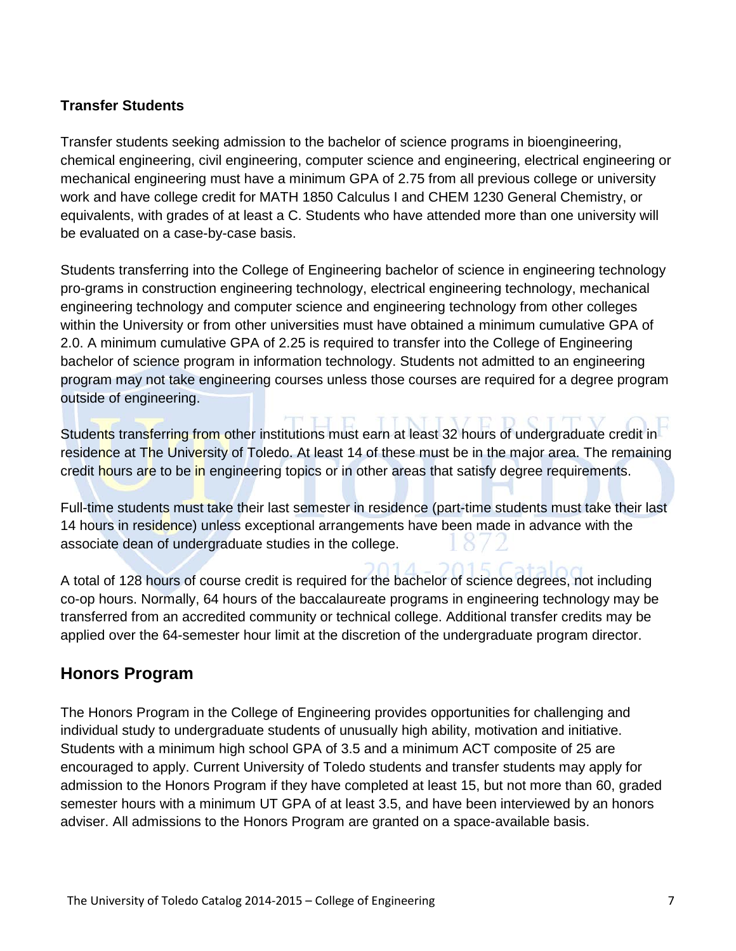## **Transfer Students**

Transfer students seeking admission to the bachelor of science programs in bioengineering, chemical engineering, civil engineering, computer science and engineering, electrical engineering or mechanical engineering must have a minimum GPA of 2.75 from all previous college or university work and have college credit for MATH 1850 Calculus I and CHEM 1230 General Chemistry, or equivalents, with grades of at least a C. Students who have attended more than one university will be evaluated on a case-by-case basis.

Students transferring into the College of Engineering bachelor of science in engineering technology pro-grams in construction engineering technology, electrical engineering technology, mechanical engineering technology and computer science and engineering technology from other colleges within the University or from other universities must have obtained a minimum cumulative GPA of 2.0. A minimum cumulative GPA of 2.25 is required to transfer into the College of Engineering bachelor of science program in information technology. Students not admitted to an engineering program may not take engineering courses unless those courses are required for a degree program outside of engineering.

Students transferring from other institutions must earn at least 32 hours of undergraduate credit in residence at The University of Toledo. At least 14 of these must be in the major area. The remaining credit hours are to be in engineering topics or in other areas that satisfy degree requirements.

**THE TINIVE** 

Full-time students must take their last semester in residence (part-time students must take their last 14 hours in residence) unless exceptional arrangements have been made in advance with the associate dean of undergraduate studies in the college.

A total of 128 hours of course credit is required for the bachelor of science degrees, not including co-op hours. Normally, 64 hours of the baccalaureate programs in engineering technology may be transferred from an accredited community or technical college. Additional transfer credits may be applied over the 64-semester hour limit at the discretion of the undergraduate program director.

## **Honors Program**

The Honors Program in the College of Engineering provides opportunities for challenging and individual study to undergraduate students of unusually high ability, motivation and initiative. Students with a minimum high school GPA of 3.5 and a minimum ACT composite of 25 are encouraged to apply. Current University of Toledo students and transfer students may apply for admission to the Honors Program if they have completed at least 15, but not more than 60, graded semester hours with a minimum UT GPA of at least 3.5, and have been interviewed by an honors adviser. All admissions to the Honors Program are granted on a space-available basis.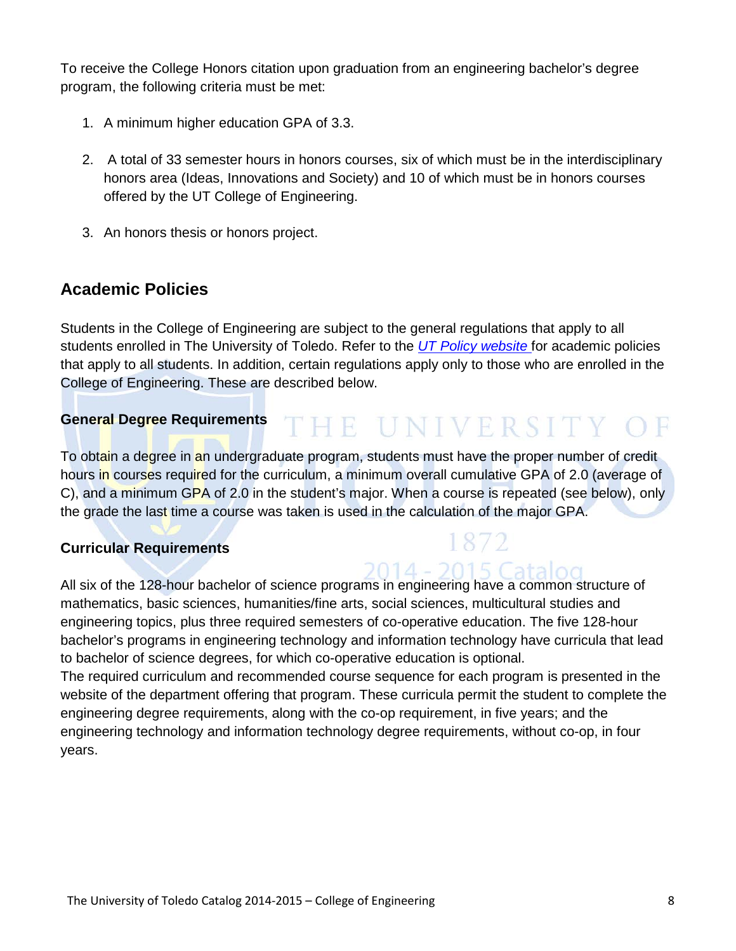To receive the College Honors citation upon graduation from an engineering bachelor's degree program, the following criteria must be met:

- 1. A minimum higher education GPA of 3.3.
- 2. A total of 33 semester hours in honors courses, six of which must be in the interdisciplinary honors area (Ideas, Innovations and Society) and 10 of which must be in honors courses offered by the UT College of Engineering.
- 3. An honors thesis or honors project.

## **Academic Policies**

Students in the College of Engineering are subject to the general regulations that apply to all students enrolled in The University of Toledo. Refer to the *[UT Policy website](http://www.utoledo.edu/policies/)* for academic policies that apply to all students. In addition, certain regulations apply only to those who are enrolled in the College of Engineering. These are described below.

## **General Degree Requirements**

To obtain a degree in an undergraduate program, students must have the proper number of credit hours in courses required for the curriculum, a minimum overall cumulative GPA of 2.0 (average of C), and a minimum GPA of 2.0 in the student's major. When a course is repeated (see below), only the grade the last time a course was taken is used in the calculation of the major GPA.

## **Curricular Requirements**

## $2014 - 2015$  Catalog

THE UNIVERSITY

All six of the 128-hour bachelor of science programs in engineering have a common structure of mathematics, basic sciences, humanities/fine arts, social sciences, multicultural studies and engineering topics, plus three required semesters of co-operative education. The five 128-hour bachelor's programs in engineering technology and information technology have curricula that lead to bachelor of science degrees, for which co-operative education is optional.

The required curriculum and recommended course sequence for each program is presented in the website of the department offering that program. These curricula permit the student to complete the engineering degree requirements, along with the co-op requirement, in five years; and the engineering technology and information technology degree requirements, without co-op, in four years.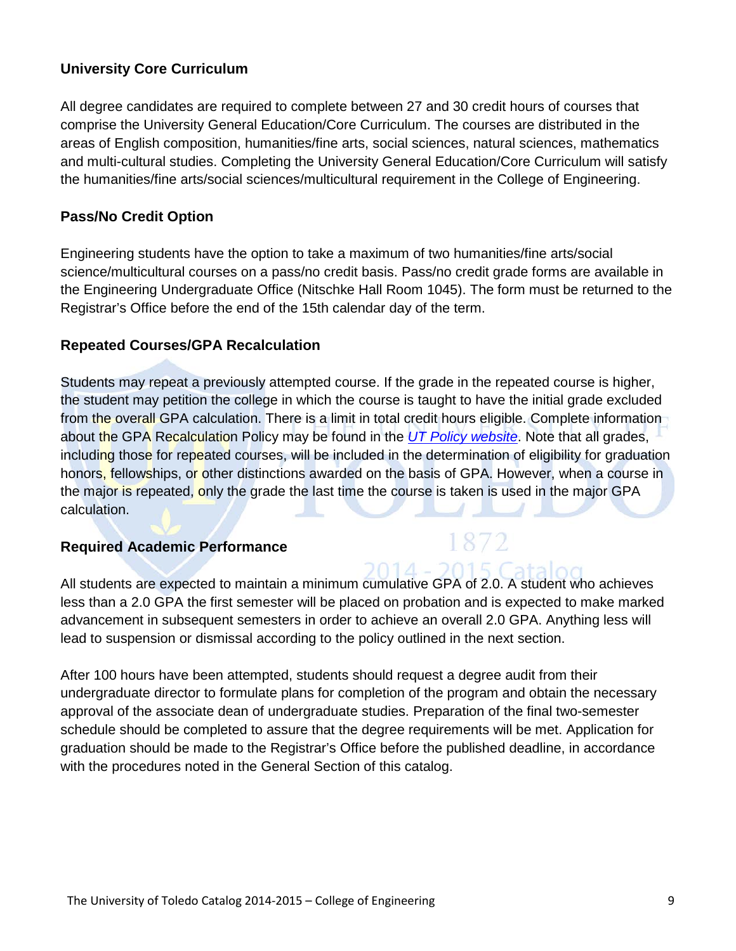## **University Core Curriculum**

All degree candidates are required to complete between 27 and 30 credit hours of courses that comprise the University General Education/Core Curriculum. The courses are distributed in the areas of English composition, humanities/fine arts, social sciences, natural sciences, mathematics and multi-cultural studies. Completing the University General Education/Core Curriculum will satisfy the humanities/fine arts/social sciences/multicultural requirement in the College of Engineering.

## **Pass/No Credit Option**

Engineering students have the option to take a maximum of two humanities/fine arts/social science/multicultural courses on a pass/no credit basis. Pass/no credit grade forms are available in the Engineering Undergraduate Office (Nitschke Hall Room 1045). The form must be returned to the Registrar's Office before the end of the 15th calendar day of the term.

#### **Repeated Courses/GPA Recalculation**

Students may repeat a previously attempted course. If the grade in the repeated course is higher, the student may petition the college in which the course is taught to have the initial grade excluded from the overall GPA calculation. There is a limit in total credit hours eligible. Complete information about the GPA Recalculation Policy may be found in the *[UT Policy website](http://www.utoledo.edu/policies/)*. Note that all grades, including those for repeated courses, will be included in the determination of eligibility for graduation honors, fellowships, or other distinctions awarded on the basis of GPA. However, when a course in the major is repeated, only the grade the last time the course is taken is used in the major GPA calculation.

## **Required Academic Performance**

## All students are expected to maintain a minimum cumulative GPA of 2.0. A student who achieves

less than a 2.0 GPA the first semester will be placed on probation and is expected to make marked advancement in subsequent semesters in order to achieve an overall 2.0 GPA. Anything less will lead to suspension or dismissal according to the policy outlined in the next section.

After 100 hours have been attempted, students should request a degree audit from their undergraduate director to formulate plans for completion of the program and obtain the necessary approval of the associate dean of undergraduate studies. Preparation of the final two-semester schedule should be completed to assure that the degree requirements will be met. Application for graduation should be made to the Registrar's Office before the published deadline, in accordance with the procedures noted in the General Section of this catalog.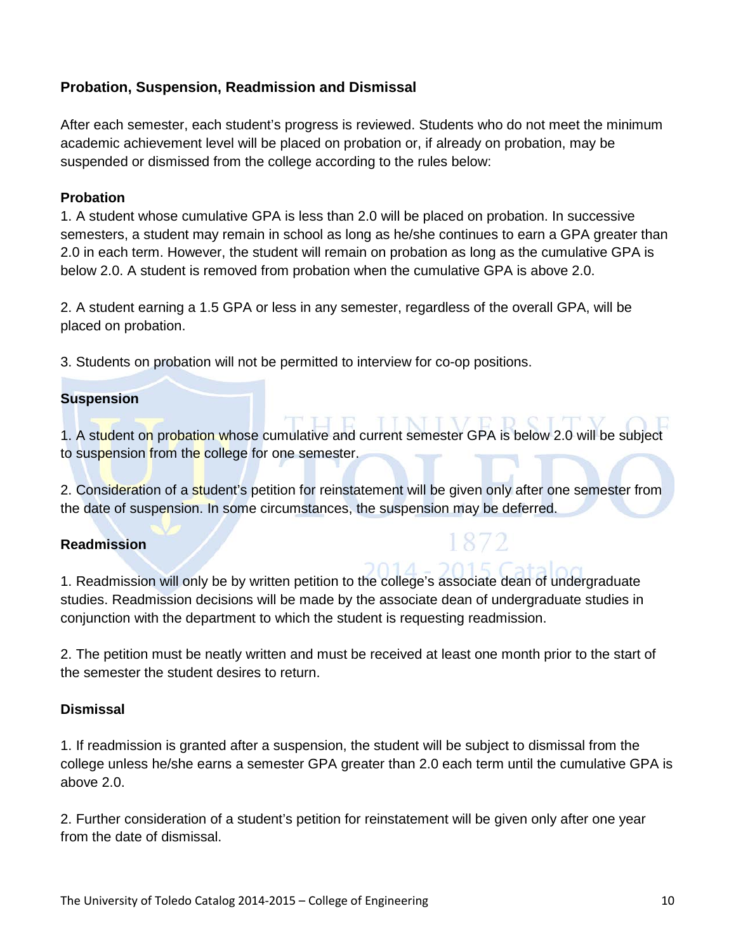## **Probation, Suspension, Readmission and Dismissal**

After each semester, each student's progress is reviewed. Students who do not meet the minimum academic achievement level will be placed on probation or, if already on probation, may be suspended or dismissed from the college according to the rules below:

#### **Probation**

1. A student whose cumulative GPA is less than 2.0 will be placed on probation. In successive semesters, a student may remain in school as long as he/she continues to earn a GPA greater than 2.0 in each term. However, the student will remain on probation as long as the cumulative GPA is below 2.0. A student is removed from probation when the cumulative GPA is above 2.0.

2. A student earning a 1.5 GPA or less in any semester, regardless of the overall GPA, will be placed on probation.

3. Students on probation will not be permitted to interview for co-op positions.

#### **Suspension**

1. A student on probation whose cumulative and current semester GPA is below 2.0 will be subject to suspension from the college for one semester.

2. Consideration of a student's petition for reinstatement will be given only after one semester from the date of suspension. In some circumstances, the suspension may be deferred.

## **Readmission**

## 1. Readmission will only be by written petition to the college's associate dean of undergraduate studies. Readmission decisions will be made by the associate dean of undergraduate studies in conjunction with the department to which the student is requesting readmission.

2. The petition must be neatly written and must be received at least one month prior to the start of the semester the student desires to return.

#### **Dismissal**

1. If readmission is granted after a suspension, the student will be subject to dismissal from the college unless he/she earns a semester GPA greater than 2.0 each term until the cumulative GPA is above 2.0.

2. Further consideration of a student's petition for reinstatement will be given only after one year from the date of dismissal.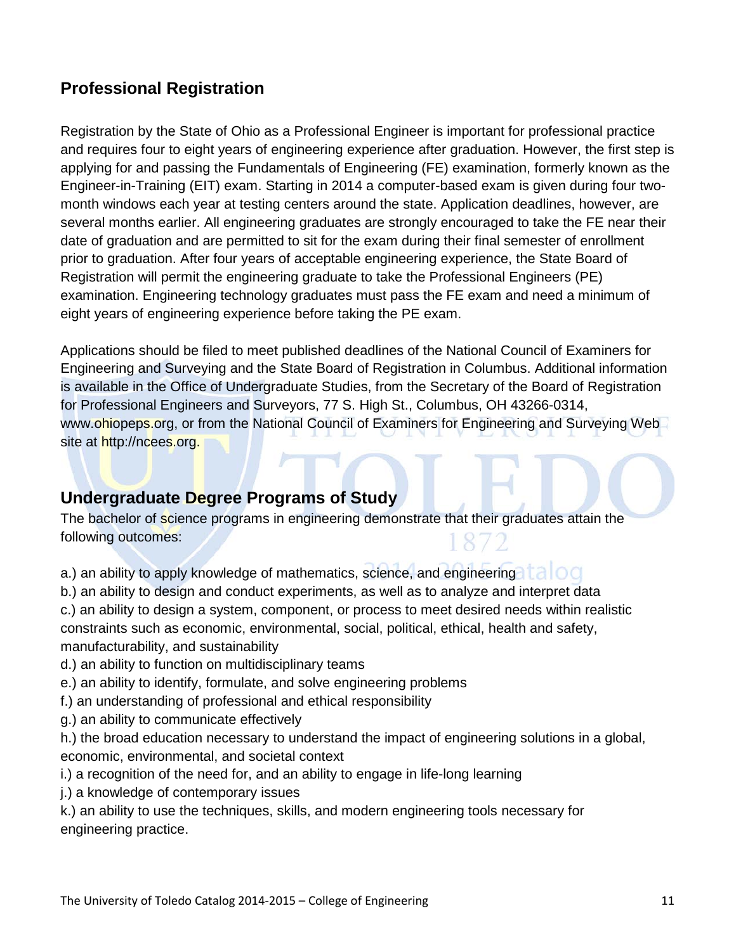## **Professional Registration**

Registration by the State of Ohio as a Professional Engineer is important for professional practice and requires four to eight years of engineering experience after graduation. However, the first step is applying for and passing the Fundamentals of Engineering (FE) examination, formerly known as the Engineer-in-Training (EIT) exam. Starting in 2014 a computer-based exam is given during four twomonth windows each year at testing centers around the state. Application deadlines, however, are several months earlier. All engineering graduates are strongly encouraged to take the FE near their date of graduation and are permitted to sit for the exam during their final semester of enrollment prior to graduation. After four years of acceptable engineering experience, the State Board of Registration will permit the engineering graduate to take the Professional Engineers (PE) examination. Engineering technology graduates must pass the FE exam and need a minimum of eight years of engineering experience before taking the PE exam.

Applications should be filed to meet published deadlines of the National Council of Examiners for Engineering and Surveying and the State Board of Registration in Columbus. Additional information is available in the Office of Undergraduate Studies, from the Secretary of the Board of Registration for Professional Engineers and Surveyors, 77 S. High St., Columbus, OH 43266-0314, www.ohiopeps.org, or from the National Council of Examiners for Engineering and Surveying Web site at [http://ncees.org.](http://ncees.org/)

## **Undergraduate Degree Programs of Study**

The bachelor of science programs in engineering demonstrate that their graduates attain the following outcomes:

a.) an ability to apply knowledge of mathematics, science, and engineering and of

b.) an ability to design and conduct experiments, as well as to analyze and interpret data

c.) an ability to design a system, component, or process to meet desired needs within realistic constraints such as economic, environmental, social, political, ethical, health and safety, manufacturability, and sustainability

- d.) an ability to function on multidisciplinary teams
- e.) an ability to identify, formulate, and solve engineering problems
- f.) an understanding of professional and ethical responsibility
- g.) an ability to communicate effectively

h.) the broad education necessary to understand the impact of engineering solutions in a global, economic, environmental, and societal context

- i.) a recognition of the need for, and an ability to engage in life-long learning
- j.) a knowledge of contemporary issues

k.) an ability to use the techniques, skills, and modern engineering tools necessary for engineering practice.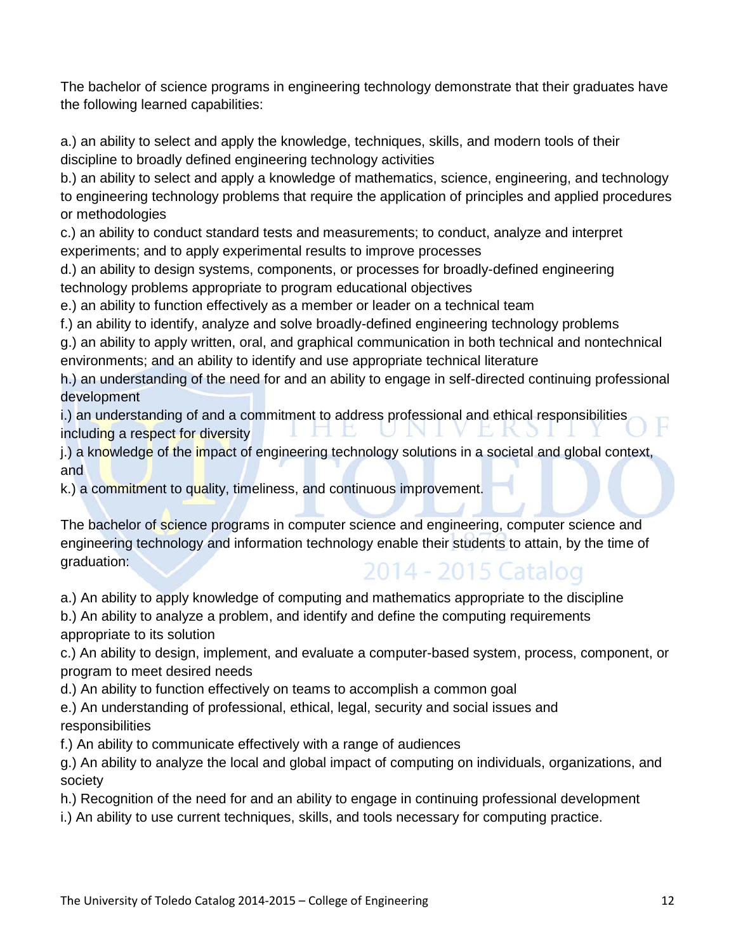The bachelor of science programs in engineering technology demonstrate that their graduates have the following learned capabilities:

a.) an ability to select and apply the knowledge, techniques, skills, and modern tools of their discipline to broadly defined engineering technology activities

b.) an ability to select and apply a knowledge of mathematics, science, engineering, and technology to engineering technology problems that require the application of principles and applied procedures or methodologies

c.) an ability to conduct standard tests and measurements; to conduct, analyze and interpret experiments; and to apply experimental results to improve processes

d.) an ability to design systems, components, or processes for broadly-defined engineering technology problems appropriate to program educational objectives

e.) an ability to function effectively as a member or leader on a technical team

f.) an ability to identify, analyze and solve broadly-defined engineering technology problems

g.) an ability to apply written, oral, and graphical communication in both technical and nontechnical environments; and an ability to identify and use appropriate technical literature

h.) an understanding of the need for and an ability to engage in self-directed continuing professional development

i.) an understanding of and a commitment to address professional and ethical responsibilities including a respect for diversity

j.) a knowledge of the impact of engineering technology solutions in a societal and global context, and

k.) a commitment to quality, timeliness, and continuous improvement.

The bachelor of science programs in computer science and engineering, computer science and engineering technology and information technology enable their students to attain, by the time of graduation: 2014 - 2015 Catalog

a.) An ability to apply knowledge of computing and mathematics appropriate to the discipline

b.) An ability to analyze a problem, and identify and define the computing requirements appropriate to its solution

c.) An ability to design, implement, and evaluate a computer-based system, process, component, or program to meet desired needs

d.) An ability to function effectively on teams to accomplish a common goal

e.) An understanding of professional, ethical, legal, security and social issues and responsibilities

f.) An ability to communicate effectively with a range of audiences

g.) An ability to analyze the local and global impact of computing on individuals, organizations, and society

h.) Recognition of the need for and an ability to engage in continuing professional development

i.) An ability to use current techniques, skills, and tools necessary for computing practice.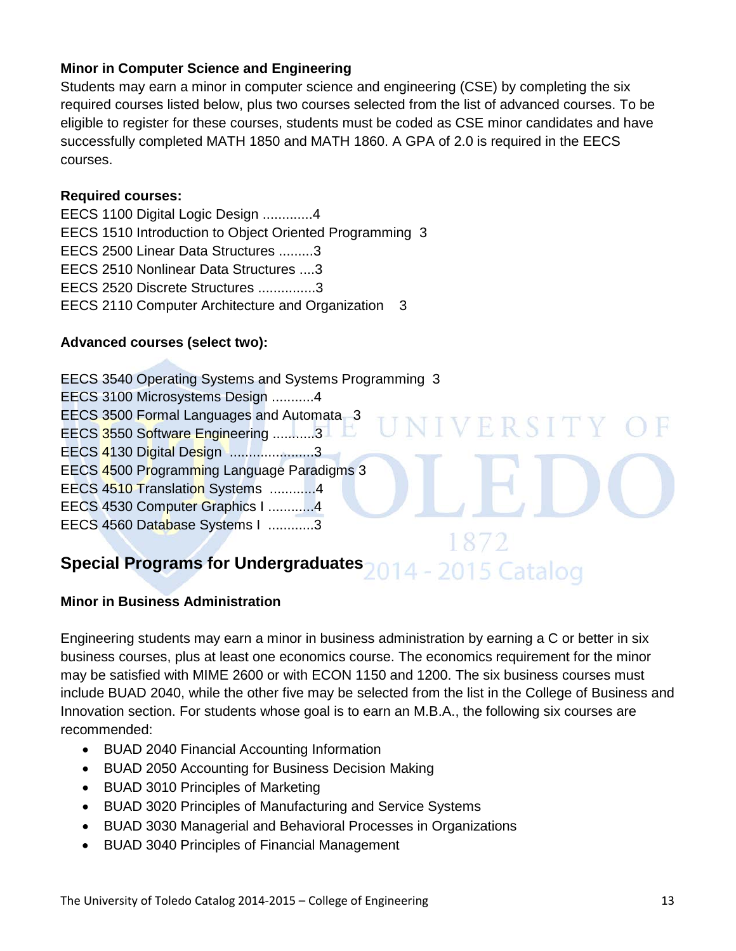## **Minor in Computer Science and Engineering**

Students may earn a minor in computer science and engineering (CSE) by completing the six required courses listed below, plus two courses selected from the list of advanced courses. To be eligible to register for these courses, students must be coded as CSE minor candidates and have successfully completed MATH 1850 and MATH 1860. A GPA of 2.0 is required in the EECS courses.

#### **Required courses:**

EECS 1100 Digital Logic Design .............4 EECS 1510 Introduction to Object Oriented Programming 3 EECS 2500 Linear Data Structures .........3 EECS 2510 Nonlinear Data Structures ....3 EECS 2520 Discrete Structures ...............3 EECS 2110 Computer Architecture and Organization 3

## **Advanced courses (select two):**

EECS 3540 Operating Systems and Systems Programming 3 EECS 3100 Microsystems Design ...........4 EECS 3500 Formal Languages and Automata 3 **IVERSITY** EECS 3550 Software Engineering ...........3 EECS 4130 Digital Design ......................3 EECS 4500 Programming Language Paradigms 3 EECS 4510 Translation Systems ............4 EECS 4530 Computer Graphics I ............4 EECS 4560 Database Systems I ............3

#### **Special Programs for Undergraduates**  2015 Catalog

## **Minor in Business Administration**

Engineering students may earn a minor in business administration by earning a C or better in six business courses, plus at least one economics course. The economics requirement for the minor may be satisfied with MIME 2600 or with ECON 1150 and 1200. The six business courses must include BUAD 2040, while the other five may be selected from the list in the College of Business and Innovation section. For students whose goal is to earn an M.B.A., the following six courses are recommended:

- BUAD 2040 Financial Accounting Information
- BUAD 2050 Accounting for Business Decision Making
- BUAD 3010 Principles of Marketing
- BUAD 3020 Principles of Manufacturing and Service Systems
- BUAD 3030 Managerial and Behavioral Processes in Organizations
- BUAD 3040 Principles of Financial Management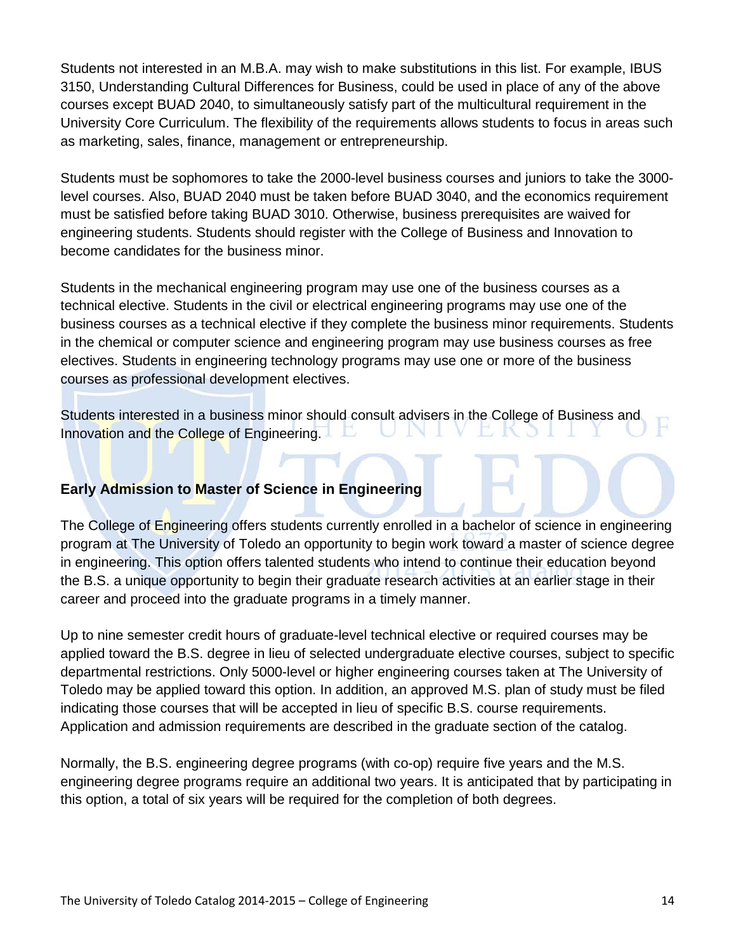Students not interested in an M.B.A. may wish to make substitutions in this list. For example, IBUS 3150, Understanding Cultural Differences for Business, could be used in place of any of the above courses except BUAD 2040, to simultaneously satisfy part of the multicultural requirement in the University Core Curriculum. The flexibility of the requirements allows students to focus in areas such as marketing, sales, finance, management or entrepreneurship.

Students must be sophomores to take the 2000-level business courses and juniors to take the 3000 level courses. Also, BUAD 2040 must be taken before BUAD 3040, and the economics requirement must be satisfied before taking BUAD 3010. Otherwise, business prerequisites are waived for engineering students. Students should register with the College of Business and Innovation to become candidates for the business minor.

Students in the mechanical engineering program may use one of the business courses as a technical elective. Students in the civil or electrical engineering programs may use one of the business courses as a technical elective if they complete the business minor requirements. Students in the chemical or computer science and engineering program may use business courses as free electives. Students in engineering technology programs may use one or more of the business courses as professional development electives.

Students interested in a business minor should consult advisers in the College of Business and Innovation and the College of Engineering.

## **Early Admission to Master of Science in Engineering**

The College of Engineering offers students currently enrolled in a bachelor of science in engineering program at The University of Toledo an opportunity to begin work toward a master of science degree in engineering. This option offers talented students who intend to continue their education beyond the B.S. a unique opportunity to begin their graduate research activities at an earlier stage in their career and proceed into the graduate programs in a timely manner.

Up to nine semester credit hours of graduate-level technical elective or required courses may be applied toward the B.S. degree in lieu of selected undergraduate elective courses, subject to specific departmental restrictions. Only 5000-level or higher engineering courses taken at The University of Toledo may be applied toward this option. In addition, an approved M.S. plan of study must be filed indicating those courses that will be accepted in lieu of specific B.S. course requirements. Application and admission requirements are described in the graduate section of the catalog.

Normally, the B.S. engineering degree programs (with co-op) require five years and the M.S. engineering degree programs require an additional two years. It is anticipated that by participating in this option, a total of six years will be required for the completion of both degrees.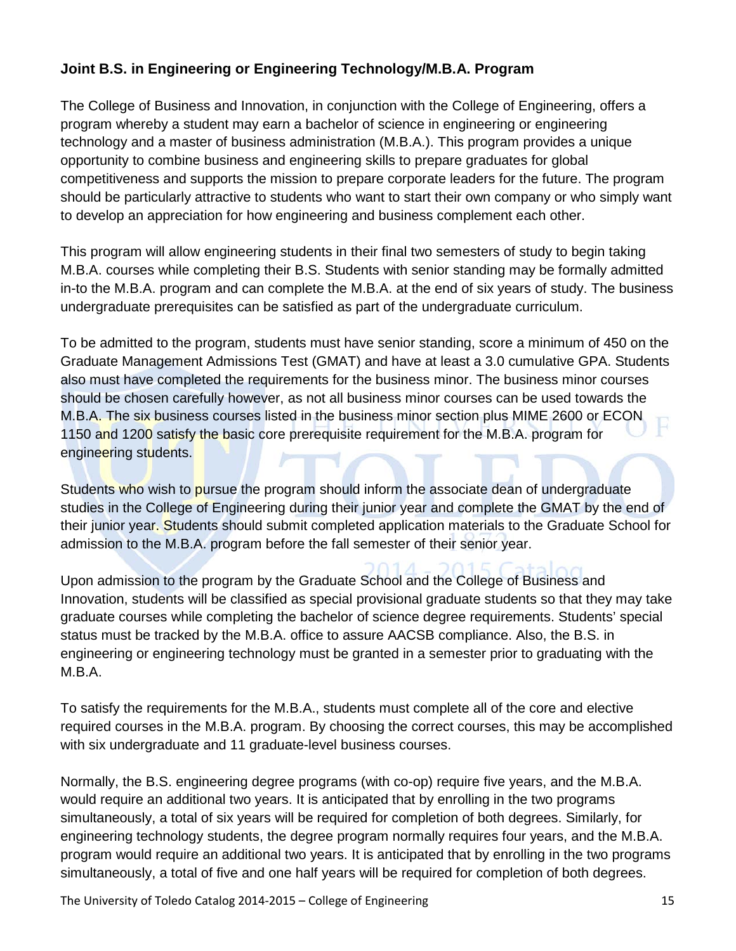## **Joint B.S. in Engineering or Engineering Technology/M.B.A. Program**

The College of Business and Innovation, in conjunction with the College of Engineering, offers a program whereby a student may earn a bachelor of science in engineering or engineering technology and a master of business administration (M.B.A.). This program provides a unique opportunity to combine business and engineering skills to prepare graduates for global competitiveness and supports the mission to prepare corporate leaders for the future. The program should be particularly attractive to students who want to start their own company or who simply want to develop an appreciation for how engineering and business complement each other.

This program will allow engineering students in their final two semesters of study to begin taking M.B.A. courses while completing their B.S. Students with senior standing may be formally admitted in-to the M.B.A. program and can complete the M.B.A. at the end of six years of study. The business undergraduate prerequisites can be satisfied as part of the undergraduate curriculum.

To be admitted to the program, students must have senior standing, score a minimum of 450 on the Graduate Management Admissions Test (GMAT) and have at least a 3.0 cumulative GPA. Students also must have completed the requirements for the business minor. The business minor courses should be chosen carefully however, as not all business minor courses can be used towards the M.B.A. The six business courses listed in the business minor section plus MIME 2600 or ECON 1150 and 1200 satisfy the basic core prerequisite requirement for the M.B.A. program for engineering students.

Students who wish to pursue the program should inform the associate dean of undergraduate studies in the College of Engineering during their junior year and complete the GMAT by the end of their junior year. Students should submit completed application materials to the Graduate School for admission to the M.B.A. program before the fall semester of their senior year.

Upon admission to the program by the Graduate School and the College of Business and Innovation, students will be classified as special provisional graduate students so that they may take graduate courses while completing the bachelor of science degree requirements. Students' special status must be tracked by the M.B.A. office to assure AACSB compliance. Also, the B.S. in engineering or engineering technology must be granted in a semester prior to graduating with the M.B.A.

To satisfy the requirements for the M.B.A., students must complete all of the core and elective required courses in the M.B.A. program. By choosing the correct courses, this may be accomplished with six undergraduate and 11 graduate-level business courses.

Normally, the B.S. engineering degree programs (with co-op) require five years, and the M.B.A. would require an additional two years. It is anticipated that by enrolling in the two programs simultaneously, a total of six years will be required for completion of both degrees. Similarly, for engineering technology students, the degree program normally requires four years, and the M.B.A. program would require an additional two years. It is anticipated that by enrolling in the two programs simultaneously, a total of five and one half years will be required for completion of both degrees.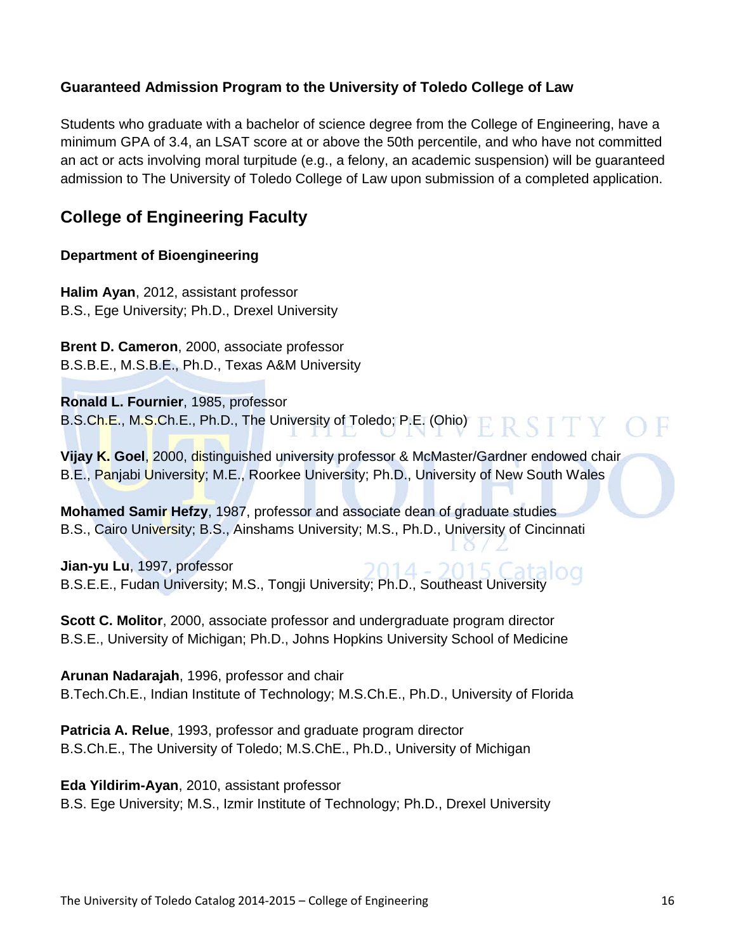## **Guaranteed Admission Program to the University of Toledo College of Law**

Students who graduate with a bachelor of science degree from the College of Engineering, have a minimum GPA of 3.4, an LSAT score at or above the 50th percentile, and who have not committed an act or acts involving moral turpitude (e.g., a felony, an academic suspension) will be guaranteed admission to The University of Toledo College of Law upon submission of a completed application.

## **College of Engineering Faculty**

## **Department of Bioengineering**

**Halim Ayan**, 2012, assistant professor B.S., Ege University; Ph.D., Drexel University

**Brent D. Cameron**, 2000, associate professor B.S.B.E., M.S.B.E., Ph.D., Texas A&M University

**Ronald L. Fournier**, 1985, professor B.S.Ch.E., M.S.Ch.E., Ph.D., The University of Toledo; P.E. (Ohio) R S I T Y

**Vijay K. Goel**, 2000, distinguished university professor & McMaster/Gardner endowed chair B.E., Panjabi University; M.E., Roorkee University; Ph.D., University of New South Wales

**Mohamed Samir Hefzy**, 1987, professor and associate dean of graduate studies B.S., Cairo University; B.S., Ainshams University; M.S., Ph.D., University of Cincinnati

**Jian-yu Lu**, 1997, professor B.S.E.E., Fudan University; M.S., Tongji University; Ph.D., Southeast University

**Scott C. Molitor**, 2000, associate professor and undergraduate program director B.S.E., University of Michigan; Ph.D., Johns Hopkins University School of Medicine

**Arunan Nadarajah**, 1996, professor and chair B.Tech.Ch.E., Indian Institute of Technology; M.S.Ch.E., Ph.D., University of Florida

**Patricia A. Relue**, 1993, professor and graduate program director B.S.Ch.E., The University of Toledo; M.S.ChE., Ph.D., University of Michigan

**Eda Yildirim-Ayan**, 2010, assistant professor B.S. Ege University; M.S., Izmir Institute of Technology; Ph.D., Drexel University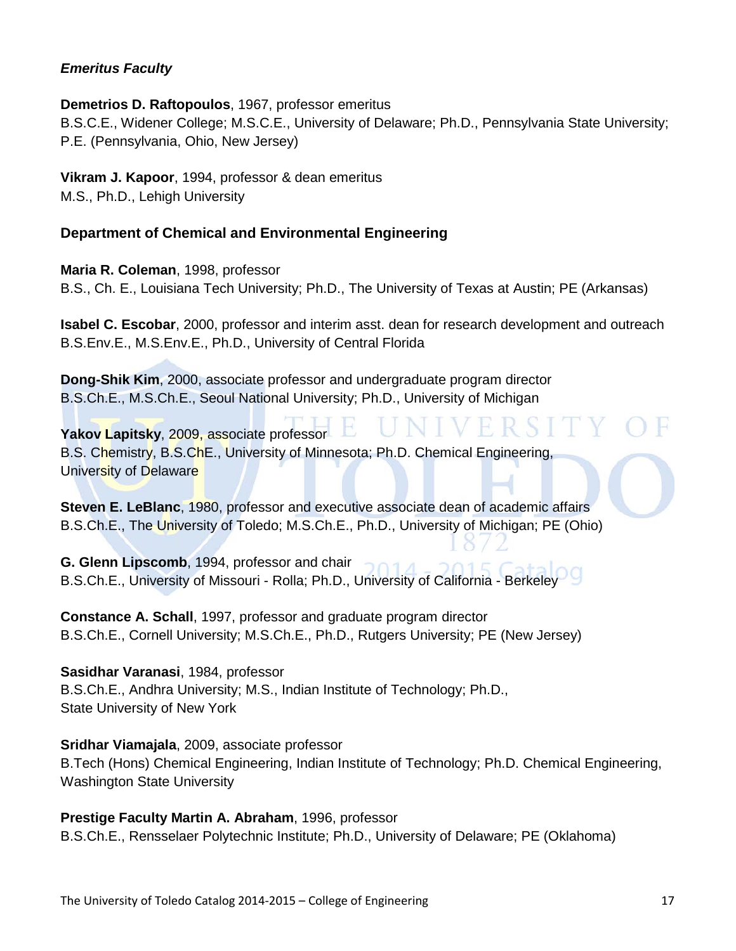#### *Emeritus Faculty*

**Demetrios D. Raftopoulos**, 1967, professor emeritus B.S.C.E., Widener College; M.S.C.E., University of Delaware; Ph.D., Pennsylvania State University; P.E. (Pennsylvania, Ohio, New Jersey)

## **Vikram J. Kapoor**, 1994, professor & dean emeritus

M.S., Ph.D., Lehigh University

## **Department of Chemical and Environmental Engineering**

**Maria R. Coleman**, 1998, professor

B.S., Ch. E., Louisiana Tech University; Ph.D., The University of Texas at Austin; PE (Arkansas)

**Isabel C. Escobar**, 2000, professor and interim asst. dean for research development and outreach B.S.Env.E., M.S.Env.E., Ph.D., University of Central Florida

**Dong-Shik Kim**, 2000, associate professor and undergraduate program director B.S.Ch.E., M.S.Ch.E., Seoul National University; Ph.D., University of Michigan

**Yakov Lapitsky**, 2009, associate professor B.S. Chemistry, B.S.ChE., University of Minnesota; Ph.D. Chemical Engineering, University of Delaware

**Steven E. LeBlanc**, 1980, professor and executive associate dean of academic affairs B.S.Ch.E., The University of Toledo; M.S.Ch.E., Ph.D., University of Michigan; PE (Ohio)

**G. Glenn Lipscomb**, 1994, professor and chair B.S.Ch.E., University of Missouri - Rolla; Ph.D., University of California - Berkeley

**Constance A. Schall**, 1997, professor and graduate program director B.S.Ch.E., Cornell University; M.S.Ch.E., Ph.D., Rutgers University; PE (New Jersey)

**Sasidhar Varanasi**, 1984, professor B.S.Ch.E., Andhra University; M.S., Indian Institute of Technology; Ph.D., State University of New York

**Sridhar Viamajala**, 2009, associate professor B.Tech (Hons) Chemical Engineering, Indian Institute of Technology; Ph.D. Chemical Engineering, Washington State University

**Prestige Faculty Martin A. Abraham**, 1996, professor B.S.Ch.E., Rensselaer Polytechnic Institute; Ph.D., University of Delaware; PE (Oklahoma)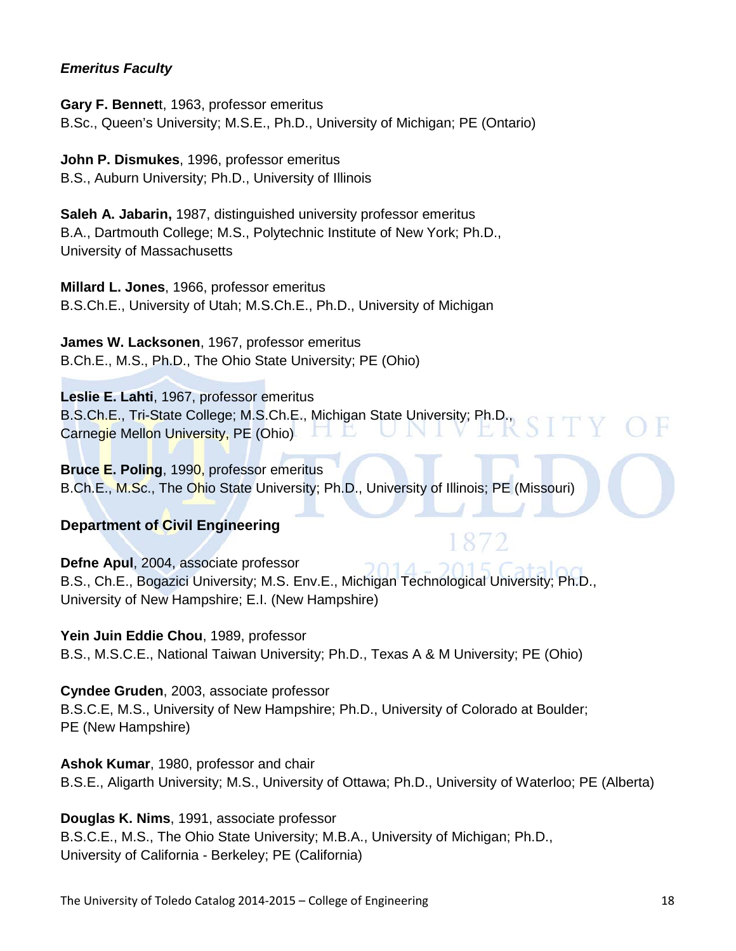## *Emeritus Faculty*

**Gary F. Bennet**t, 1963, professor emeritus B.Sc., Queen's University; M.S.E., Ph.D., University of Michigan; PE (Ontario)

## **John P. Dismukes**, 1996, professor emeritus

B.S., Auburn University; Ph.D., University of Illinois

**Saleh A. Jabarin,** 1987, distinguished university professor emeritus B.A., Dartmouth College; M.S., Polytechnic Institute of New York; Ph.D., University of Massachusetts

**Millard L. Jones**, 1966, professor emeritus B.S.Ch.E., University of Utah; M.S.Ch.E., Ph.D., University of Michigan

**James W. Lacksonen**, 1967, professor emeritus B.Ch.E., M.S., Ph.D., The Ohio State University; PE (Ohio)

**Leslie E. Lahti**, 1967, professor emeritus

B.S.Ch.E., Tri-State College; M.S.Ch.E., Michigan State University; Ph.D., Carnegie Mellon University, PE (Ohio) Ð

**Bruce E. Poling**, 1990, professor emeritus B.Ch.E., M.Sc., The Ohio State University; Ph.D., University of Illinois; PE (Missouri)

## **Department of Civil Engineering**

**Defne Apul**, 2004, associate professor B.S., Ch.E., Bogazici University; M.S. Env.E., Michigan Technological University; Ph.D., University of New Hampshire; E.I. (New Hampshire)

**Yein Juin Eddie Chou**, 1989, professor B.S., M.S.C.E., National Taiwan University; Ph.D., Texas A & M University; PE (Ohio)

**Cyndee Gruden**, 2003, associate professor B.S.C.E, M.S., University of New Hampshire; Ph.D., University of Colorado at Boulder; PE (New Hampshire)

**Ashok Kumar**, 1980, professor and chair B.S.E., Aligarth University; M.S., University of Ottawa; Ph.D., University of Waterloo; PE (Alberta)

**Douglas K. Nims**, 1991, associate professor B.S.C.E., M.S., The Ohio State University; M.B.A., University of Michigan; Ph.D., University of California - Berkeley; PE (California)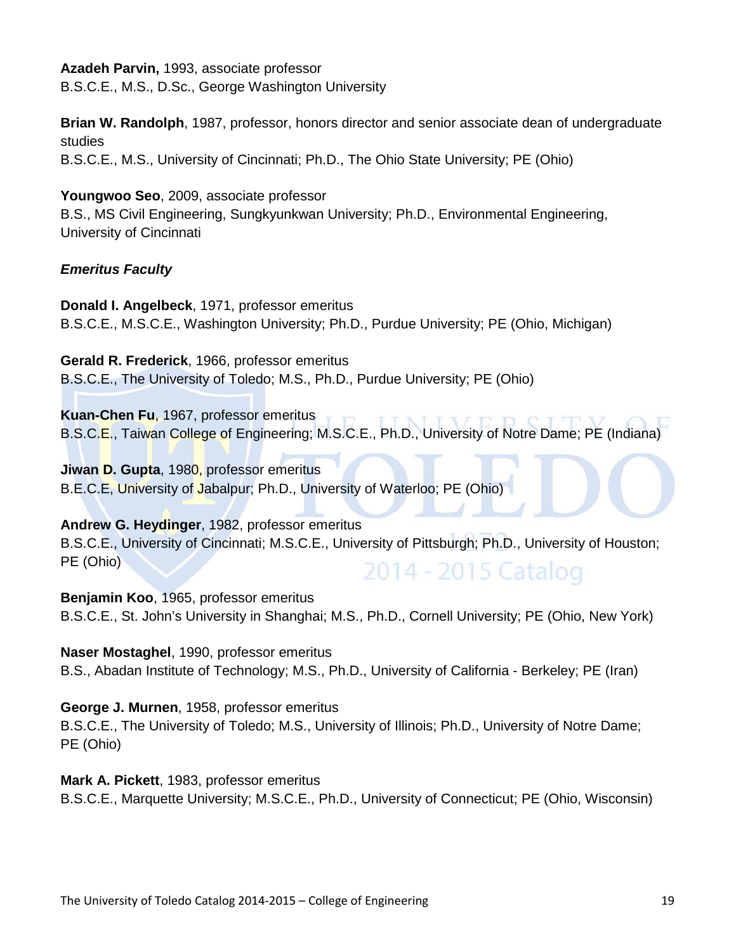**Azadeh Parvin,** 1993, associate professor

B.S.C.E., M.S., D.Sc., George Washington University

**Brian W. Randolph**, 1987, professor, honors director and senior associate dean of undergraduate studies

B.S.C.E., M.S., University of Cincinnati; Ph.D., The Ohio State University; PE (Ohio)

**Youngwoo Seo**, 2009, associate professor

B.S., MS Civil Engineering, Sungkyunkwan University; Ph.D., Environmental Engineering, University of Cincinnati

## *Emeritus Faculty*

**Donald I. Angelbeck**, 1971, professor emeritus B.S.C.E., M.S.C.E., Washington University; Ph.D., Purdue University; PE (Ohio, Michigan)

**Gerald R. Frederick**, 1966, professor emeritus B.S.C.E., The University of Toledo; M.S., Ph.D., Purdue University; PE (Ohio)

**Kuan-Chen Fu**, 1967, professor emeritus B.S.C.E., Taiwan College of Engineering; M.S.C.E., Ph.D., University of Notre Dame; PE (Indiana)

**Jiwan D. Gupta**, 1980, professor emeritus B.E.C.E, University of Jabalpur; Ph.D., University of Waterloo; PE (Ohio)

**Andrew G. Heydinger**, 1982, professor emeritus B.S.C.E., University of Cincinnati; M.S.C.E., University of Pittsburgh; Ph.D., University of Houston; PE (Ohio) 2014 - 2015 Catalog

**Benjamin Koo**, 1965, professor emeritus B.S.C.E., St. John's University in Shanghai; M.S., Ph.D., Cornell University; PE (Ohio, New York)

**Naser Mostaghel**, 1990, professor emeritus B.S., Abadan Institute of Technology; M.S., Ph.D., University of California - Berkeley; PE (Iran)

**George J. Murnen**, 1958, professor emeritus B.S.C.E., The University of Toledo; M.S., University of Illinois; Ph.D., University of Notre Dame; PE (Ohio)

**Mark A. Pickett**, 1983, professor emeritus B.S.C.E., Marquette University; M.S.C.E., Ph.D., University of Connecticut; PE (Ohio, Wisconsin)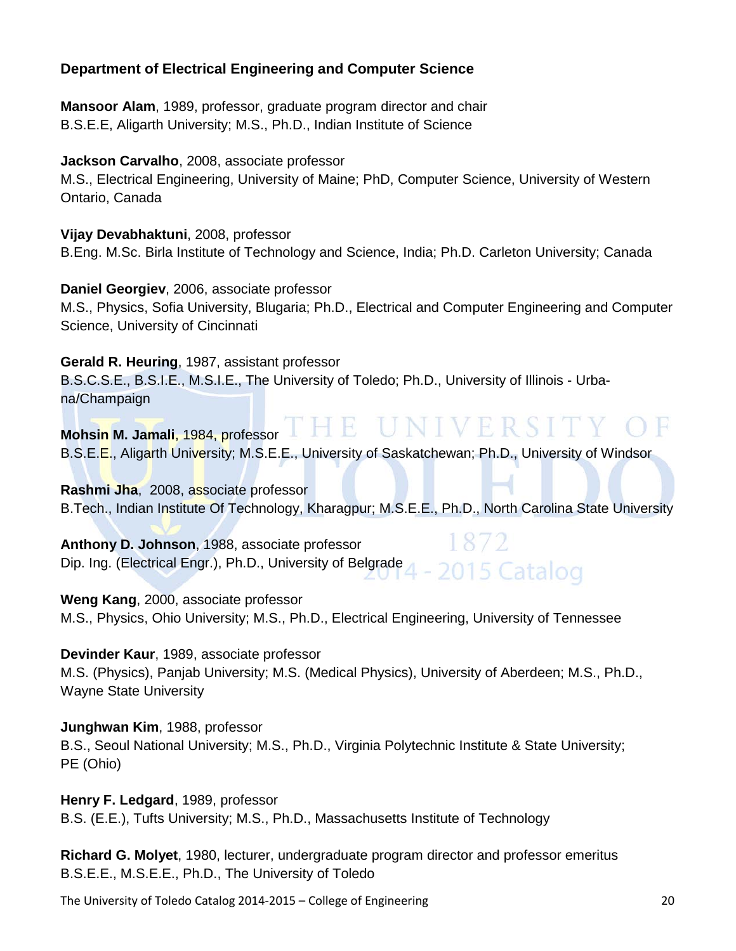## **Department of Electrical Engineering and Computer Science**

**Mansoor Alam**, 1989, professor, graduate program director and chair B.S.E.E, Aligarth University; M.S., Ph.D., Indian Institute of Science

**Jackson Carvalho**, 2008, associate professor

M.S., Electrical Engineering, University of Maine; PhD, Computer Science, University of Western Ontario, Canada

**Vijay Devabhaktuni**, 2008, professor B.Eng. M.Sc. Birla Institute of Technology and Science, India; Ph.D. Carleton University; Canada

**Daniel Georgiev**, 2006, associate professor M.S., Physics, Sofia University, Blugaria; Ph.D., Electrical and Computer Engineering and Computer Science, University of Cincinnati

## **Gerald R. Heuring**, 1987, assistant professor

B.S.C.S.E., B.S.I.E., M.S.I.E., The University of Toledo; Ph.D., University of Illinois - Urbana/Champaign

'HE UNIVERSITY O **Mohsin M. Jamali**, 1984, professor B.S.E.E., Aligarth University; M.S.E.E., University of Saskatchewan; Ph.D., University of Windsor

**Rashmi Jha**, 2008, associate professor B.Tech., Indian Institute Of Technology, Kharagpur; M.S.E.E., Ph.D., North Carolina State University

015 Catalog

**Anthony D. Johnson**, 1988, associate professor Dip. Ing. (Electrical Engr.), Ph.D., University of Belgrade

**Weng Kang**, 2000, associate professor M.S., Physics, Ohio University; M.S., Ph.D., Electrical Engineering, University of Tennessee

**Devinder Kaur**, 1989, associate professor M.S. (Physics), Panjab University; M.S. (Medical Physics), University of Aberdeen; M.S., Ph.D., Wayne State University

**Junghwan Kim**, 1988, professor B.S., Seoul National University; M.S., Ph.D., Virginia Polytechnic Institute & State University; PE (Ohio)

**Henry F. Ledgard**, 1989, professor B.S. (E.E.), Tufts University; M.S., Ph.D., Massachusetts Institute of Technology

**Richard G. Molyet**, 1980, lecturer, undergraduate program director and professor emeritus B.S.E.E., M.S.E.E., Ph.D., The University of Toledo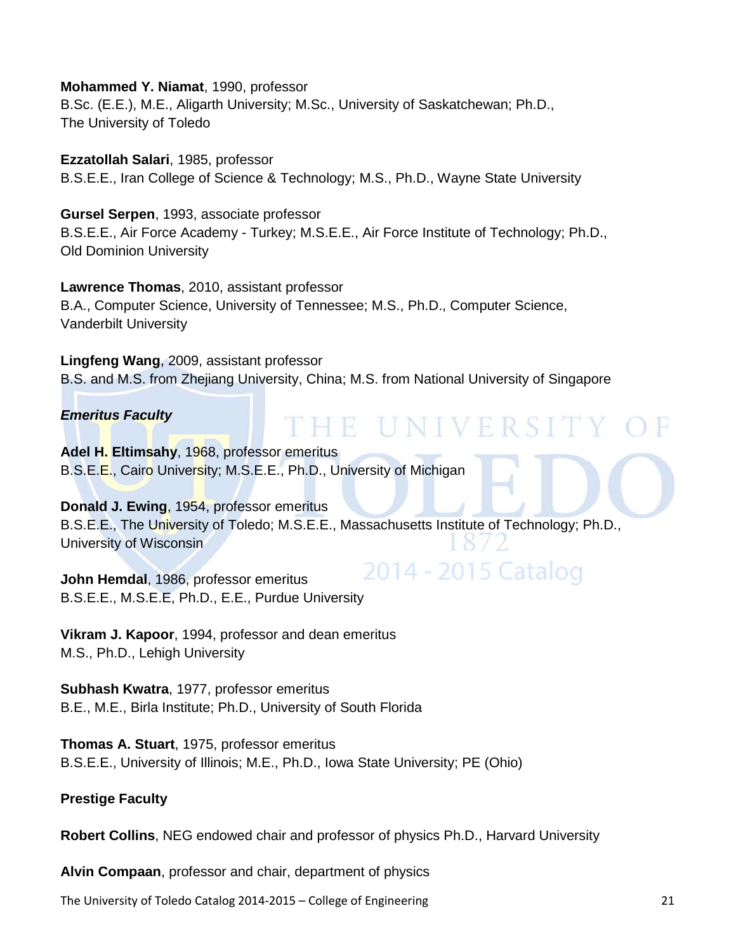#### **Mohammed Y. Niamat**, 1990, professor

B.Sc. (E.E.), M.E., Aligarth University; M.Sc., University of Saskatchewan; Ph.D., The University of Toledo

**Ezzatollah Salari**, 1985, professor B.S.E.E., Iran College of Science & Technology; M.S., Ph.D., Wayne State University

#### **Gursel Serpen**, 1993, associate professor

B.S.E.E., Air Force Academy - Turkey; M.S.E.E., Air Force Institute of Technology; Ph.D., Old Dominion University

**Lawrence Thomas**, 2010, assistant professor B.A., Computer Science, University of Tennessee; M.S., Ph.D., Computer Science, Vanderbilt University

**Lingfeng Wang**, 2009, assistant professor B.S. and M.S. from Zhejiang University, China; M.S. from National University of Singapore

THE UNIVERSI

## *Emeritus Faculty*

**Adel H. Eltimsahy**, 1968, professor emeritus B.S.E.E., Cairo University; M.S.E.E., Ph.D., University of Michigan

**Donald J. Ewing**, 1954, professor emeritus B.S.E.E., The University of Toledo; M.S.E.E., Massachusetts Institute of Technology; Ph.D., University of Wisconsin

2014 - 2015 Catalog **John Hemdal**, 1986, professor emeritus B.S.E.E., M.S.E.E, Ph.D., E.E., Purdue University

**Vikram J. Kapoor**, 1994, professor and dean emeritus M.S., Ph.D., Lehigh University

**Subhash Kwatra**, 1977, professor emeritus B.E., M.E., Birla Institute; Ph.D., University of South Florida

**Thomas A. Stuart**, 1975, professor emeritus B.S.E.E., University of Illinois; M.E., Ph.D., Iowa State University; PE (Ohio)

## **Prestige Faculty**

**Robert Collins**, NEG endowed chair and professor of physics Ph.D., Harvard University

**Alvin Compaan**, professor and chair, department of physics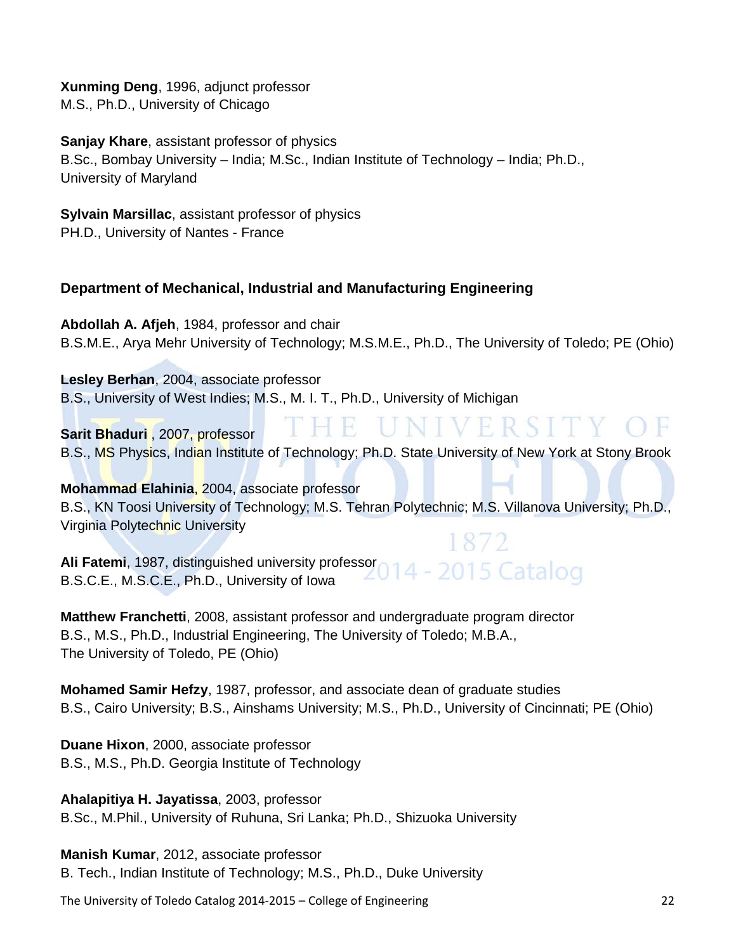**Xunming Deng**, 1996, adjunct professor M.S., Ph.D., University of Chicago

**Sanjay Khare**, assistant professor of physics B.Sc., Bombay University – India; M.Sc., Indian Institute of Technology – India; Ph.D., University of Maryland

**Sylvain Marsillac**, assistant professor of physics PH.D., University of Nantes - France

## **Department of Mechanical, Industrial and Manufacturing Engineering**

**Abdollah A. Afjeh**, 1984, professor and chair B.S.M.E., Arya Mehr University of Technology; M.S.M.E., Ph.D., The University of Toledo; PE (Ohio)

**Lesley Berhan**, 2004, associate professor B.S., University of West Indies; M.S., M. I. T., Ph.D., University of Michigan

UNIVERSITY TR. **Sarit Bhaduri** , 2007, professor B.S., MS Physics, Indian Institute of Technology; Ph.D. State University of New York at Stony Brook

**Mohammad Elahinia**, 2004, associate professor B.S., KN Toosi University of Technology; M.S. Tehran Polytechnic; M.S. Villanova University; Ph.D., Virginia Polytechnic University

**Ali Fatemi**, 1987, distinguished university professor B.S.C.E., M.S.C.E., Ph.D., University of Iowa

# 2015 Catalog

**Matthew Franchetti**, 2008, assistant professor and undergraduate program director B.S., M.S., Ph.D., Industrial Engineering, The University of Toledo; M.B.A., The University of Toledo, PE (Ohio)

**Mohamed Samir Hefzy**, 1987, professor, and associate dean of graduate studies B.S., Cairo University; B.S., Ainshams University; M.S., Ph.D., University of Cincinnati; PE (Ohio)

**Duane Hixon**, 2000, associate professor B.S., M.S., Ph.D. Georgia Institute of Technology

**Ahalapitiya H. Jayatissa**, 2003, professor B.Sc., M.Phil., University of Ruhuna, Sri Lanka; Ph.D., Shizuoka University

**Manish Kumar**, 2012, associate professor B. Tech., Indian Institute of Technology; M.S., Ph.D., Duke University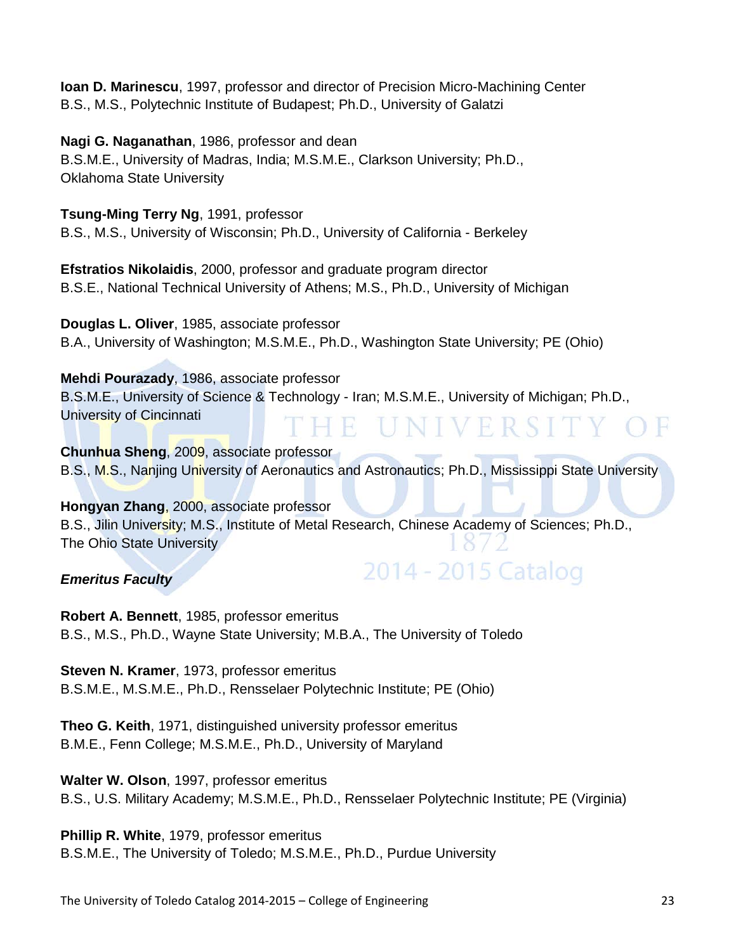**Ioan D. Marinescu**, 1997, professor and director of Precision Micro-Machining Center B.S., M.S., Polytechnic Institute of Budapest; Ph.D., University of Galatzi

**Nagi G. Naganathan**, 1986, professor and dean B.S.M.E., University of Madras, India; M.S.M.E., Clarkson University; Ph.D., Oklahoma State University

**Tsung-Ming Terry Ng**, 1991, professor B.S., M.S., University of Wisconsin; Ph.D., University of California - Berkeley

**Efstratios Nikolaidis**, 2000, professor and graduate program director B.S.E., National Technical University of Athens; M.S., Ph.D., University of Michigan

**Douglas L. Oliver**, 1985, associate professor B.A., University of Washington; M.S.M.E., Ph.D., Washington State University; PE (Ohio)

**Mehdi Pourazady**, 1986, associate professor B.S.M.E., University of Science & Technology - Iran; M.S.M.E., University of Michigan; Ph.D., University of Cincinnati HE UNIVERSITY

**Chunhua Sheng**, 2009, associate professor B.S., M.S., Nanjing University of Aeronautics and Astronautics; Ph.D., Mississippi State University

**Hongyan Zhang**, 2000, associate professor B.S., Jilin University; M.S., Institute of Metal Research, Chinese Academy of Sciences; Ph.D., The Ohio State University

2014 - 2015 Catalog

## *Emeritus Faculty*

**Robert A. Bennett**, 1985, professor emeritus B.S., M.S., Ph.D., Wayne State University; M.B.A., The University of Toledo

**Steven N. Kramer**, 1973, professor emeritus B.S.M.E., M.S.M.E., Ph.D., Rensselaer Polytechnic Institute; PE (Ohio)

**Theo G. Keith**, 1971, distinguished university professor emeritus B.M.E., Fenn College; M.S.M.E., Ph.D., University of Maryland

**Walter W. Olson**, 1997, professor emeritus B.S., U.S. Military Academy; M.S.M.E., Ph.D., Rensselaer Polytechnic Institute; PE (Virginia)

**Phillip R. White**, 1979, professor emeritus B.S.M.E., The University of Toledo; M.S.M.E., Ph.D., Purdue University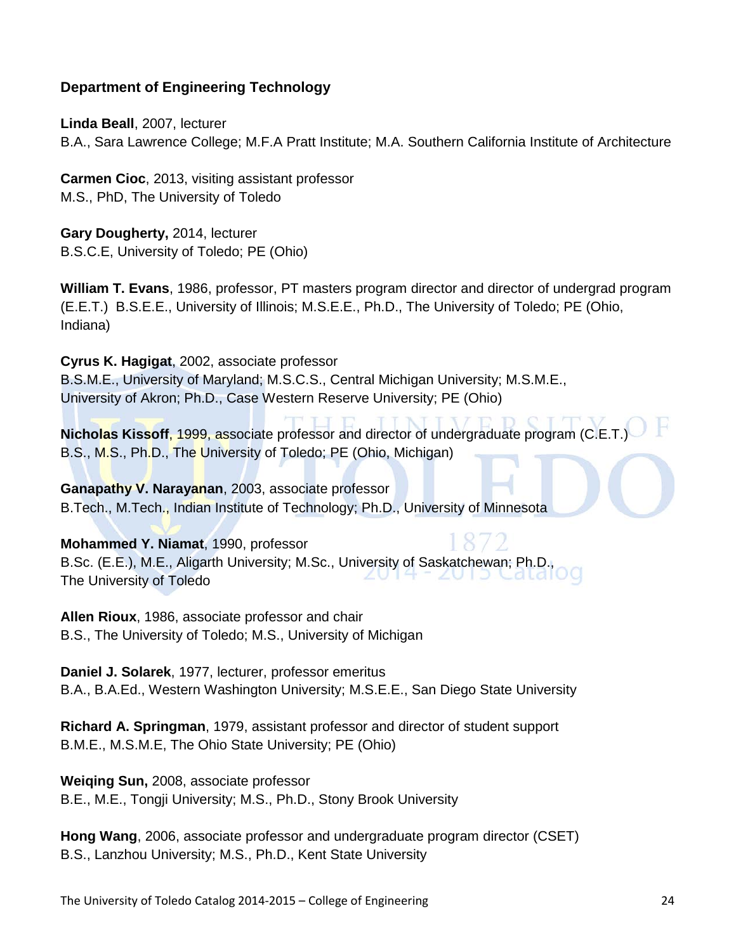## **Department of Engineering Technology**

**Linda Beall**, 2007, lecturer B.A., Sara Lawrence College; M.F.A Pratt Institute; M.A. Southern California Institute of Architecture

**Carmen Cioc**, 2013, visiting assistant professor M.S., PhD, The University of Toledo

**Gary Dougherty,** 2014, lecturer B.S.C.E, University of Toledo; PE (Ohio)

**William T. Evans**, 1986, professor, PT masters program director and director of undergrad program (E.E.T.) B.S.E.E., University of Illinois; M.S.E.E., Ph.D., The University of Toledo; PE (Ohio, Indiana)

**Cyrus K. Hagigat**, 2002, associate professor B.S.M.E., University of Maryland; M.S.C.S., Central Michigan University; M.S.M.E., University of Akron; Ph.D., Case Western Reserve University; PE (Ohio)

**Nicholas Kissoff**, 1999, associate professor and director of undergraduate program (C.E.T.) B.S., M.S., Ph.D., The University of Toledo; PE (Ohio, Michigan)

**Ganapathy V. Narayanan**, 2003, associate professor B.Tech., M.Tech., Indian Institute of Technology; Ph.D., University of Minnesota

**Mohammed Y. Niamat**, 1990, professor B.Sc. (E.E.), M.E., Aligarth University; M.Sc., University of Saskatchewan; Ph.D., The University of Toledo

**Allen Rioux**, 1986, associate professor and chair B.S., The University of Toledo; M.S., University of Michigan

**Daniel J. Solarek**, 1977, lecturer, professor emeritus B.A., B.A.Ed., Western Washington University; M.S.E.E., San Diego State University

**Richard A. Springman**, 1979, assistant professor and director of student support B.M.E., M.S.M.E, The Ohio State University; PE (Ohio)

**Weiqing Sun,** 2008, associate professor B.E., M.E., Tongji University; M.S., Ph.D., Stony Brook University

**Hong Wang**, 2006, associate professor and undergraduate program director (CSET) B.S., Lanzhou University; M.S., Ph.D., Kent State University